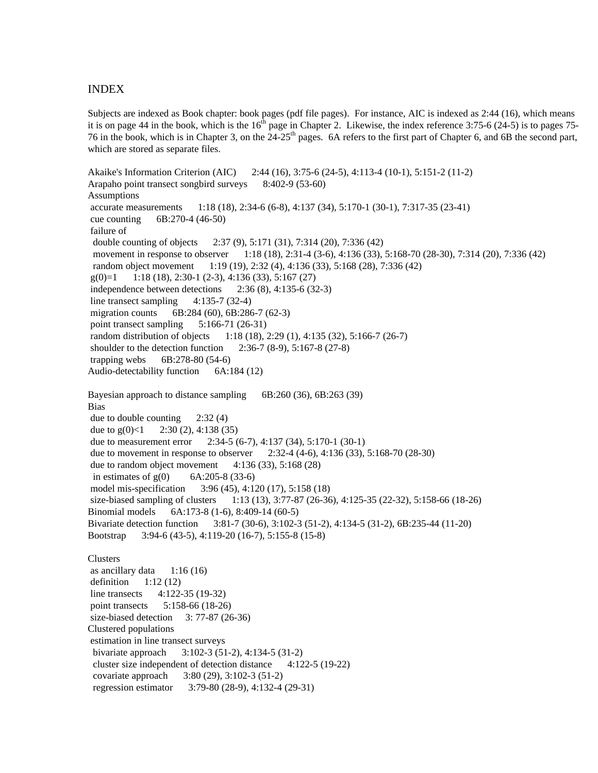## INDEX

Subjects are indexed as Book chapter: book pages (pdf file pages). For instance, AIC is indexed as 2:44 (16), which means it is on page 44 in the book, which is the  $16<sup>th</sup>$  page in Chapter 2. Likewise, the index reference 3:75-6 (24-5) is to pages 75-76 in the book, which is in Chapter 3, on the  $24-25<sup>th</sup>$  pages. 6A refers to the first part of Chapter 6, and 6B the second part, which are stored as separate files.

```
Akaike's Information Criterion (AIC) 2:44 (16), 3:75-6 (24-5), 4:113-4 (10-1), 5:151-2 (11-2)
Arapaho point transect songbird surveys 8:402-9 (53-60)
Assumptions
 accurate measurements 1:18 (18), 2:34-6 (6-8), 4:137 (34), 5:170-1 (30-1), 7:317-35 (23-41)
 cue counting 6B:270-4 (46-50)
 failure of
  double counting of objects 2:37 (9), 5:171 (31), 7:314 (20), 7:336 (42)
 movement in response to observer 1:18 (18), 2:31-4 (3-6), 4:136 (33), 5:168-70 (28-30), 7:314 (20), 7:336 (42)
  random object movement 1:19 (19), 2:32 (4), 4:136 (33), 5:168 (28), 7:336 (42)
g(0)=1 1:18 (18), 2:30-1 (2-3), 4:136 (33), 5:167 (27)
 independence between detections 2:36 (8), 4:135-6 (32-3)
line transect sampling 4:135-7 (32-4)
migration counts 6B:284 (60), 6B:286-7 (62-3)
point transect sampling 5:166-71 (26-31)
 random distribution of objects 1:18 (18), 2:29 (1), 4:135 (32), 5:166-7 (26-7)
 shoulder to the detection function 2:36-7 (8-9), 5:167-8 (27-8)
 trapping webs 6B:278-80 (54-6)
Audio-detectability function 6A:184 (12)
Bayesian approach to distance sampling 6B:260 (36), 6B:263 (39)
Bias
 due to double counting 2:32 (4)
due to g(0) < 1 2:30 (2), 4:138 (35)
 due to measurement error 2:34-5 (6-7), 4:137 (34), 5:170-1 (30-1)
 due to movement in response to observer 2:32-4 (4-6), 4:136 (33), 5:168-70 (28-30)
due to random object movement 4:136(33), 5:168(28)in estimates of g(0) 6A:205-8 (33-6)
 model mis-specification 3:96 (45), 4:120 (17), 5:158 (18)
 size-biased sampling of clusters 1:13 (13), 3:77-87 (26-36), 4:125-35 (22-32), 5:158-66 (18-26)
Binomial models 6A:173-8 (1-6), 8:409-14 (60-5)
Bivariate detection function 3:81-7 (30-6), 3:102-3 (51-2), 4:134-5 (31-2), 6B:235-44 (11-20)
Bootstrap 3:94-6 (43-5), 4:119-20 (16-7), 5:155-8 (15-8)
Clusters
as ancillary data 1:16(16)definition 1:12(12) line transects 4:122-35 (19-32)
 point transects 5:158-66 (18-26)
size-biased detection 3: 77-87 (26-36)
Clustered populations
 estimation in line transect surveys
  bivariate approach 3:102-3 (51-2), 4:134-5 (31-2)
  cluster size independent of detection distance 4:122-5 (19-22)
  covariate approach 3:80 (29), 3:102-3 (51-2)
  regression estimator 3:79-80 (28-9), 4:132-4 (29-31)
```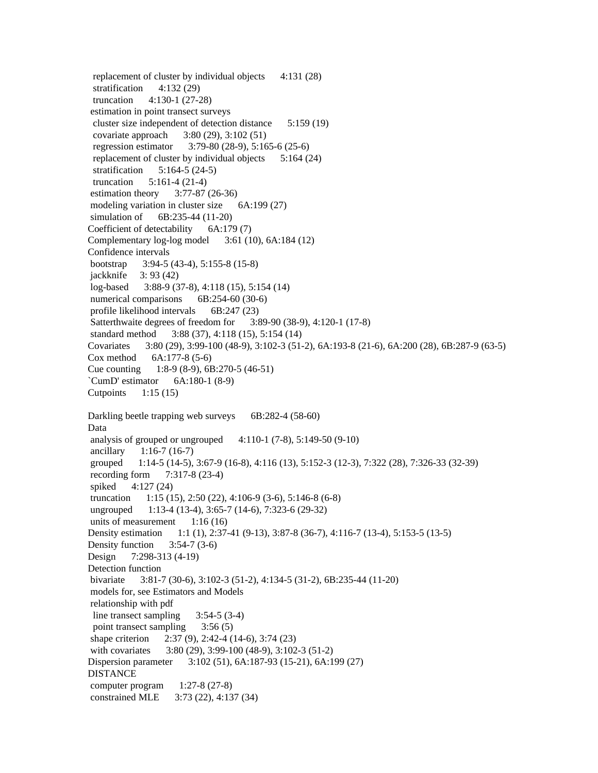replacement of cluster by individual objects 4:131 (28) stratification 4:132 (29) truncation 4:130-1 (27-28) estimation in point transect surveys cluster size independent of detection distance 5:159 (19) covariate approach 3:80 (29), 3:102 (51) regression estimator 3:79-80 (28-9), 5:165-6 (25-6) replacement of cluster by individual objects 5:164 (24) stratification 5:164-5 (24-5) truncation 5:161-4 (21-4) estimation theory 3:77-87 (26-36) modeling variation in cluster size 6A:199 (27) simulation of 6B:235-44 (11-20) Coefficient of detectability 6A:179 (7) Complementary log-log model 3:61 (10), 6A:184 (12) Confidence intervals bootstrap 3:94-5 (43-4), 5:155-8 (15-8) jackknife 3: 93 (42) log-based 3:88-9 (37-8), 4:118 (15), 5:154 (14) numerical comparisons 6B:254-60 (30-6) profile likelihood intervals 6B:247 (23) Satterthwaite degrees of freedom for 3:89-90 (38-9), 4:120-1 (17-8) standard method 3:88 (37), 4:118 (15), 5:154 (14) Covariates 3:80 (29), 3:99-100 (48-9), 3:102-3 (51-2), 6A:193-8 (21-6), 6A:200 (28), 6B:287-9 (63-5) Cox method 6A:177-8 (5-6) Cue counting 1:8-9 (8-9), 6B:270-5 (46-51) `CumD' estimator 6A:180-1 (8-9) Cutpoints 1:15 (15) Darkling beetle trapping web surveys 6B:282-4 (58-60) Data analysis of grouped or ungrouped  $4:110-1$  (7-8), 5:149-50 (9-10) ancillary 1:16-7 (16-7) grouped 1:14-5 (14-5), 3:67-9 (16-8), 4:116 (13), 5:152-3 (12-3), 7:322 (28), 7:326-33 (32-39) recording form 7:317-8 (23-4) spiked 4:127 (24) truncation 1:15 (15), 2:50 (22), 4:106-9 (3-6), 5:146-8 (6-8) ungrouped 1:13-4 (13-4), 3:65-7 (14-6), 7:323-6 (29-32) units of measurement  $1:16(16)$ Density estimation 1:1 (1), 2:37-41 (9-13), 3:87-8 (36-7), 4:116-7 (13-4), 5:153-5 (13-5) Density function  $3:54-7(3-6)$ Design 7:298-313 (4-19) Detection function bivariate 3:81-7 (30-6), 3:102-3 (51-2), 4:134-5 (31-2), 6B:235-44 (11-20) models for, see Estimators and Models relationship with pdf line transect sampling 3:54-5 (3-4) point transect sampling 3:56 (5) shape criterion 2:37 (9), 2:42-4 (14-6), 3:74 (23) with covariates 3:80 (29), 3:99-100 (48-9), 3:102-3 (51-2) Dispersion parameter 3:102 (51), 6A:187-93 (15-21), 6A:199 (27) DISTANCE computer program 1:27-8 (27-8) constrained MLE 3:73 (22), 4:137 (34)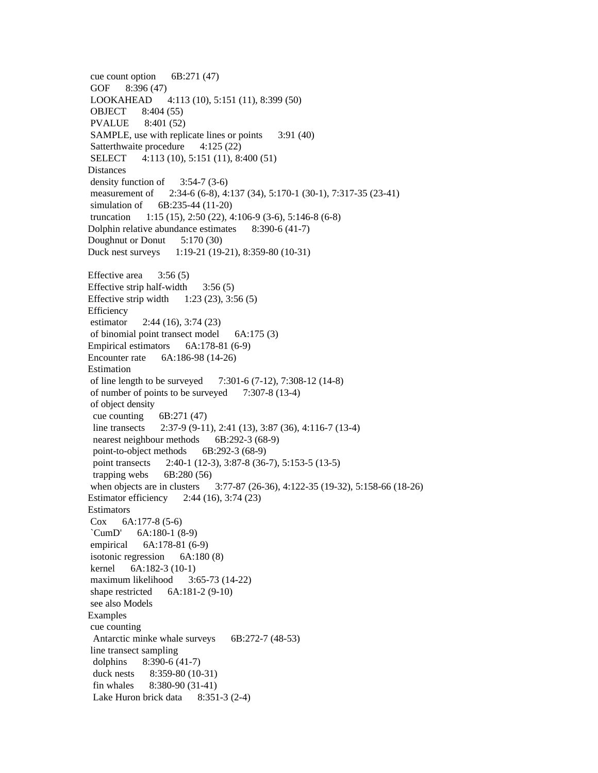cue count option 6B:271 (47) GOF 8:396 (47) LOOKAHEAD 4:113 (10), 5:151 (11), 8:399 (50) OBJECT 8:404 (55) PVALUE 8:401 (52) SAMPLE, use with replicate lines or points 3:91 (40) Satterthwaite procedure 4:125 (22) SELECT 4:113 (10), 5:151 (11), 8:400 (51) **Distances**  density function of 3:54-7 (3-6) measurement of 2:34-6 (6-8), 4:137 (34), 5:170-1 (30-1), 7:317-35 (23-41) simulation of 6B:235-44 (11-20) truncation 1:15 (15), 2:50 (22), 4:106-9 (3-6), 5:146-8 (6-8) Dolphin relative abundance estimates 8:390-6 (41-7) Doughnut or Donut 5:170 (30) Duck nest surveys 1:19-21 (19-21), 8:359-80 (10-31) Effective area  $3:56(5)$ Effective strip half-width  $3:56(5)$ Effective strip width 1:23 (23), 3:56 (5) **Efficiency**  estimator 2:44 (16), 3:74 (23) of binomial point transect model 6A:175 (3) Empirical estimators 6A:178-81 (6-9) Encounter rate 6A:186-98 (14-26) Estimation of line length to be surveyed 7:301-6 (7-12), 7:308-12 (14-8) of number of points to be surveyed 7:307-8 (13-4) of object density cue counting  $6B:271(47)$  line transects 2:37-9 (9-11), 2:41 (13), 3:87 (36), 4:116-7 (13-4) nearest neighbour methods 6B:292-3 (68-9) point-to-object methods 6B:292-3 (68-9) point transects 2:40-1 (12-3), 3:87-8 (36-7), 5:153-5 (13-5) trapping webs  $6B:280(56)$  when objects are in clusters 3:77-87 (26-36), 4:122-35 (19-32), 5:158-66 (18-26) Estimator efficiency 2:44 (16), 3:74 (23) Estimators Cox 6A:177-8 (5-6) `CumD' 6A:180-1 (8-9) empirical 6A:178-81 (6-9) isotonic regression 6A:180 (8) kernel 6A:182-3 (10-1) maximum likelihood 3:65-73 (14-22) shape restricted 6A:181-2 (9-10) see also Models Examples cue counting Antarctic minke whale surveys 6B:272-7 (48-53) line transect sampling dolphins 8:390-6 (41-7) duck nests 8:359-80 (10-31) fin whales 8:380-90 (31-41) Lake Huron brick data 8:351-3 (2-4)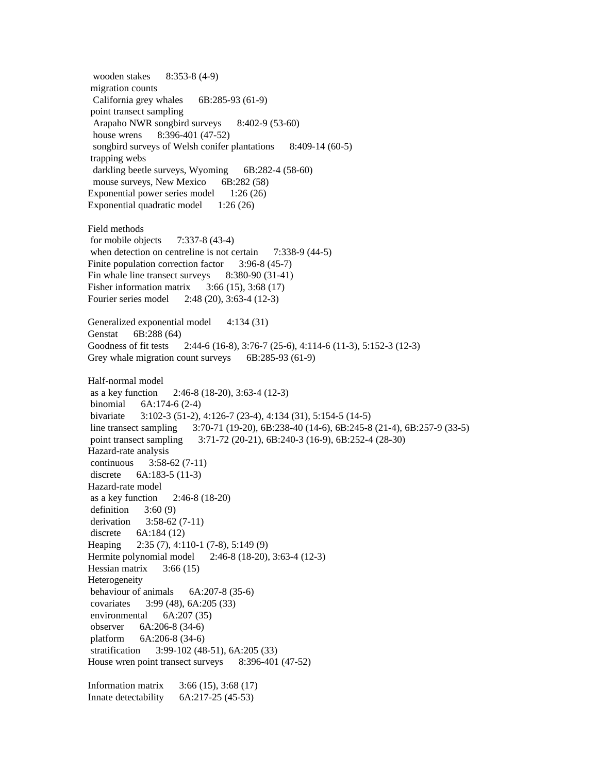wooden stakes 8:353-8 (4-9) migration counts California grey whales 6B:285-93 (61-9) point transect sampling Arapaho NWR songbird surveys 8:402-9 (53-60) house wrens 8:396-401 (47-52) songbird surveys of Welsh conifer plantations 8:409-14 (60-5) trapping webs darkling beetle surveys, Wyoming 6B:282-4 (58-60) mouse surveys, New Mexico 6B:282 (58) Exponential power series model 1:26 (26) Exponential quadratic model  $1:26(26)$ Field methods for mobile objects 7:337-8 (43-4) when detection on centreline is not certain 7:338-9 (44-5) Finite population correction factor 3:96-8 (45-7) Fin whale line transect surveys 8:380-90 (31-41) Fisher information matrix 3:66 (15), 3:68 (17) Fourier series model 2:48 (20), 3:63-4 (12-3) Generalized exponential model 4:134 (31) Genstat 6B:288 (64) Goodness of fit tests 2:44-6 (16-8), 3:76-7 (25-6), 4:114-6 (11-3), 5:152-3 (12-3) Grey whale migration count surveys 6B:285-93 (61-9) Half-normal model as a key function 2:46-8 (18-20), 3:63-4 (12-3) binomial 6A:174-6 (2-4) bivariate 3:102-3 (51-2), 4:126-7 (23-4), 4:134 (31), 5:154-5 (14-5) line transect sampling 3:70-71 (19-20), 6B:238-40 (14-6), 6B:245-8 (21-4), 6B:257-9 (33-5) point transect sampling 3:71-72 (20-21), 6B:240-3 (16-9), 6B:252-4 (28-30) Hazard-rate analysis continuous 3:58-62 (7-11) discrete 6A:183-5 (11-3) Hazard-rate model as a key function 2:46-8 (18-20) definition  $3:60(9)$  derivation 3:58-62 (7-11) discrete 6A:184 (12) Heaping 2:35 (7), 4:110-1 (7-8), 5:149 (9) Hermite polynomial model 2:46-8 (18-20), 3:63-4 (12-3) Hessian matrix  $3:66(15)$ Heterogeneity behaviour of animals 6A:207-8 (35-6) covariates 3:99 (48), 6A:205 (33) environmental 6A:207 (35) observer 6A:206-8 (34-6) platform 6A:206-8 (34-6) stratification 3:99-102 (48-51), 6A:205 (33) House wren point transect surveys 8:396-401 (47-52) Information matrix 3:66 (15), 3:68 (17) Innate detectability 6A:217-25 (45-53)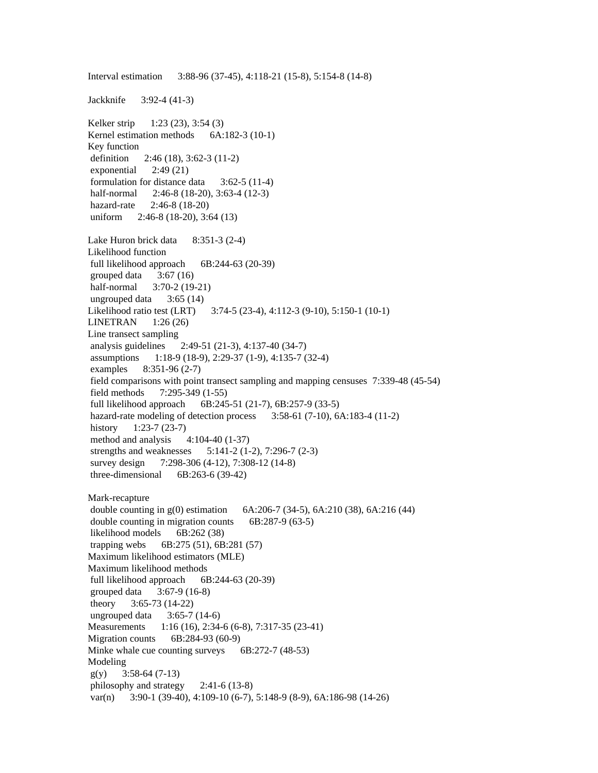Jackknife 3:92-4 (41-3) Kelker strip 1:23 (23), 3:54 (3) Kernel estimation methods 6A:182-3 (10-1) Key function definition 2:46 (18), 3:62-3 (11-2) exponential  $2:49(21)$  formulation for distance data 3:62-5 (11-4) half-normal 2:46-8 (18-20), 3:63-4 (12-3) hazard-rate 2:46-8 (18-20) uniform 2:46-8 (18-20), 3:64 (13) Lake Huron brick data 8:351-3 (2-4) Likelihood function full likelihood approach  $6B:244-63(20-39)$ grouped data  $3:67(16)$ half-normal 3:70-2 (19-21) ungrouped data  $3:65(14)$ Likelihood ratio test (LRT) 3:74-5 (23-4), 4:112-3 (9-10), 5:150-1 (10-1) LINETRAN 1:26 (26) Line transect sampling analysis guidelines 2:49-51 (21-3), 4:137-40 (34-7) assumptions 1:18-9 (18-9), 2:29-37 (1-9), 4:135-7 (32-4) examples 8:351-96 (2-7) field comparisons with point transect sampling and mapping censuses 7:339-48 (45-54) field methods 7:295-349 (1-55) full likelihood approach 6B:245-51 (21-7), 6B:257-9 (33-5) hazard-rate modeling of detection process 3:58-61 (7-10), 6A:183-4 (11-2) history 1:23-7 (23-7) method and analysis  $4:104-40(1-37)$  strengths and weaknesses 5:141-2 (1-2), 7:296-7 (2-3) survey design 7:298-306 (4-12), 7:308-12 (14-8) three-dimensional 6B:263-6 (39-42) Mark-recapture double counting in g(0) estimation 6A:206-7 (34-5), 6A:210 (38), 6A:216 (44) double counting in migration counts 6B:287-9 (63-5) likelihood models 6B:262 (38) trapping webs 6B:275 (51), 6B:281 (57) Maximum likelihood estimators (MLE) Maximum likelihood methods full likelihood approach 6B:244-63 (20-39) grouped data 3:67-9 (16-8) theory 3:65-73 (14-22) ungrouped data  $3:65-7(14-6)$ Measurements 1:16 (16), 2:34-6 (6-8), 7:317-35 (23-41) Migration counts 6B:284-93 (60-9) Minke whale cue counting surveys  $6B:272-7$  (48-53) Modeling  $g(y)$  3:58-64 (7-13) philosophy and strategy 2:41-6 (13-8) var(n) 3:90-1 (39-40), 4:109-10 (6-7), 5:148-9 (8-9), 6A:186-98 (14-26)

Interval estimation 3:88-96 (37-45), 4:118-21 (15-8), 5:154-8 (14-8)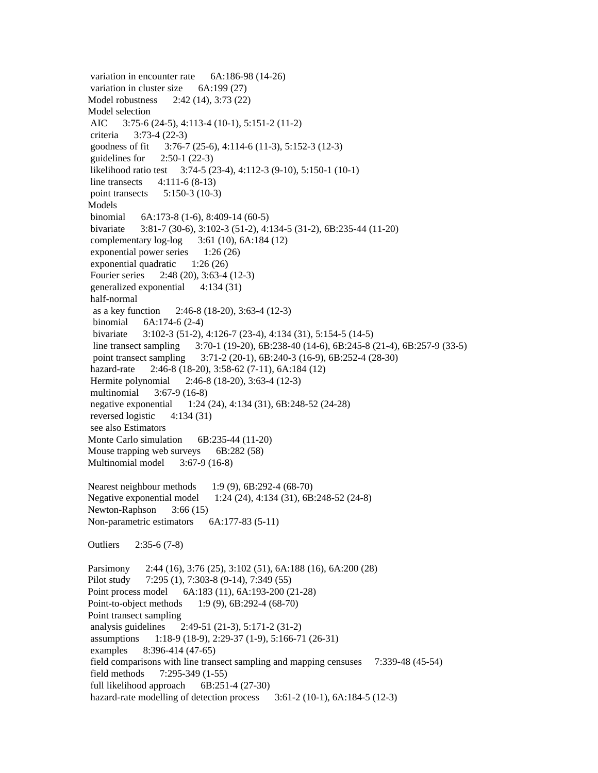variation in encounter rate 6A:186-98 (14-26) variation in cluster size 6A:199 (27) Model robustness 2:42 (14), 3:73 (22) Model selection AIC 3:75-6 (24-5), 4:113-4 (10-1), 5:151-2 (11-2) criteria 3:73-4 (22-3) goodness of fit 3:76-7 (25-6), 4:114-6 (11-3), 5:152-3 (12-3) guidelines for  $2:50-1(22-3)$  likelihood ratio test 3:74-5 (23-4), 4:112-3 (9-10), 5:150-1 (10-1) line transects 4:111-6 (8-13) point transects 5:150-3 (10-3) Models binomial 6A:173-8 (1-6), 8:409-14 (60-5) bivariate 3:81-7 (30-6), 3:102-3 (51-2), 4:134-5 (31-2), 6B:235-44 (11-20) complementary log-log 3:61 (10), 6A:184 (12) exponential power series 1:26 (26) exponential quadratic 1:26 (26) Fourier series 2:48 (20), 3:63-4 (12-3) generalized exponential 4:134 (31) half-normal as a key function 2:46-8 (18-20), 3:63-4 (12-3) binomial 6A:174-6 (2-4) bivariate 3:102-3 (51-2), 4:126-7 (23-4), 4:134 (31), 5:154-5 (14-5) line transect sampling 3:70-1 (19-20), 6B:238-40 (14-6), 6B:245-8 (21-4), 6B:257-9 (33-5) point transect sampling 3:71-2 (20-1), 6B:240-3 (16-9), 6B:252-4 (28-30) hazard-rate 2:46-8 (18-20), 3:58-62 (7-11), 6A:184 (12) Hermite polynomial 2:46-8 (18-20), 3:63-4 (12-3) multinomial 3:67-9 (16-8) negative exponential 1:24 (24), 4:134 (31), 6B:248-52 (24-28) reversed logistic 4:134 (31) see also Estimators Monte Carlo simulation 6B:235-44 (11-20) Mouse trapping web surveys 6B:282 (58) Multinomial model 3:67-9 (16-8) Nearest neighbour methods 1:9 (9), 6B:292-4 (68-70) Negative exponential model 1:24 (24), 4:134 (31), 6B:248-52 (24-8) Newton-Raphson 3:66 (15) Non-parametric estimators 6A:177-83 (5-11) Outliers 2:35-6 (7-8) Parsimony 2:44 (16), 3:76 (25), 3:102 (51), 6A:188 (16), 6A:200 (28) Pilot study 7:295 (1), 7:303-8 (9-14), 7:349 (55) Point process model 6A:183 (11), 6A:193-200 (21-28) Point-to-object methods 1:9 (9), 6B:292-4 (68-70) Point transect sampling analysis guidelines 2:49-51 (21-3), 5:171-2 (31-2) assumptions 1:18-9 (18-9), 2:29-37 (1-9), 5:166-71 (26-31) examples 8:396-414 (47-65) field comparisons with line transect sampling and mapping censuses 7:339-48 (45-54) field methods 7:295-349 (1-55) full likelihood approach 6B:251-4 (27-30) hazard-rate modelling of detection process 3:61-2 (10-1), 6A:184-5 (12-3)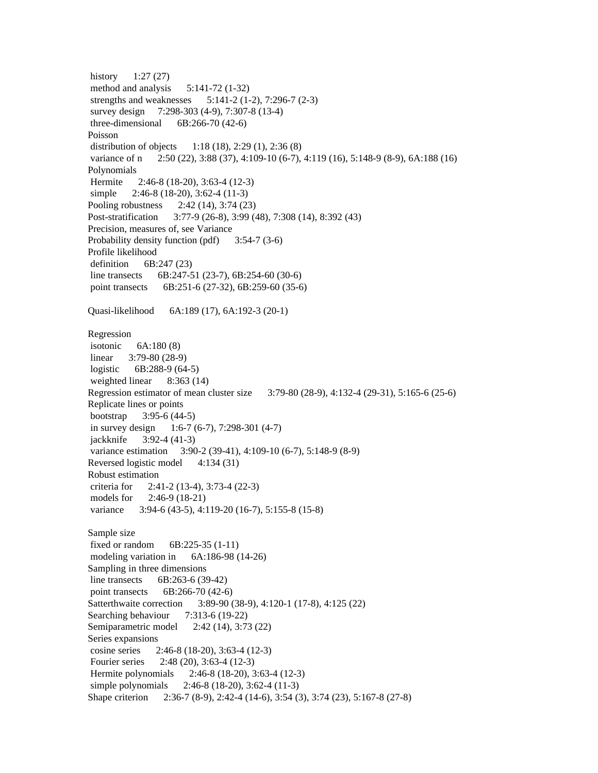history 1:27 (27) method and analysis  $5:141-72$  (1-32) strengths and weaknesses 5:141-2 (1-2), 7:296-7 (2-3) survey design 7:298-303 (4-9), 7:307-8 (13-4) three-dimensional 6B:266-70 (42-6) Poisson distribution of objects 1:18 (18), 2:29 (1), 2:36 (8) variance of n 2:50 (22), 3:88 (37), 4:109-10 (6-7), 4:119 (16), 5:148-9 (8-9), 6A:188 (16) Polynomials Hermite 2:46-8 (18-20), 3:63-4 (12-3) simple 2:46-8 (18-20), 3:62-4 (11-3) Pooling robustness 2:42 (14), 3:74 (23) Post-stratification 3:77-9 (26-8), 3:99 (48), 7:308 (14), 8:392 (43) Precision, measures of, see Variance Probability density function (pdf) 3:54-7 (3-6) Profile likelihood definition 6B:247 (23) line transects 6B:247-51 (23-7), 6B:254-60 (30-6) point transects 6B:251-6 (27-32), 6B:259-60 (35-6) Quasi-likelihood 6A:189 (17), 6A:192-3 (20-1) Regression isotonic 6A:180 (8) linear 3:79-80 (28-9) logistic 6B:288-9 (64-5) weighted linear 8:363 (14) Regression estimator of mean cluster size 3:79-80 (28-9), 4:132-4 (29-31), 5:165-6 (25-6) Replicate lines or points bootstrap 3:95-6 (44-5) in survey design 1:6-7 (6-7), 7:298-301 (4-7) jackknife 3:92-4 (41-3) variance estimation 3:90-2 (39-41), 4:109-10 (6-7), 5:148-9 (8-9) Reversed logistic model 4:134 (31) Robust estimation criteria for 2:41-2 (13-4), 3:73-4 (22-3) models for 2:46-9 (18-21) variance 3:94-6 (43-5), 4:119-20 (16-7), 5:155-8 (15-8) Sample size fixed or random 6B:225-35 (1-11) modeling variation in 6A:186-98 (14-26) Sampling in three dimensions line transects 6B:263-6 (39-42) point transects 6B:266-70 (42-6) Satterthwaite correction 3:89-90 (38-9), 4:120-1 (17-8), 4:125 (22) Searching behaviour 7:313-6 (19-22) Semiparametric model 2:42 (14), 3:73 (22) Series expansions cosine series 2:46-8 (18-20), 3:63-4 (12-3) Fourier series 2:48 (20), 3:63-4 (12-3) Hermite polynomials 2:46-8 (18-20), 3:63-4 (12-3) simple polynomials 2:46-8 (18-20), 3:62-4 (11-3) Shape criterion 2:36-7 (8-9), 2:42-4 (14-6), 3:54 (3), 3:74 (23), 5:167-8 (27-8)